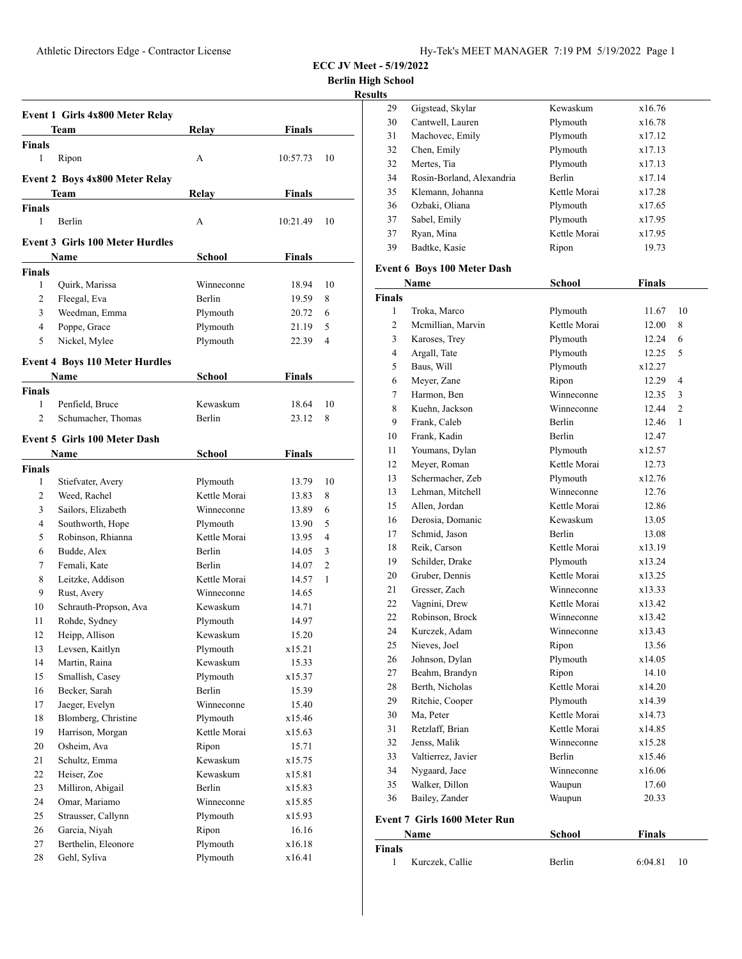**ECC JV Meet - 5/19/2022**

**Berlin High School**

|                               |                                        |               |               |    | <b>Results</b> |                                   |
|-------------------------------|----------------------------------------|---------------|---------------|----|----------------|-----------------------------------|
|                               | Event 1 Girls 4x800 Meter Relay        |               |               |    | 29             | Gigstead, Skylar                  |
|                               | Team                                   | Relav         | Finals        |    | 30             | Cantwell, Lauren                  |
| <b>Finals</b>                 |                                        |               |               |    | 31             | Machovec, Emily                   |
| 1                             | Ripon                                  | A             | 10:57.73      | 10 | 32             | Chen, Emily                       |
|                               |                                        |               |               |    | 32             | Mertes, Tia                       |
|                               | Event 2 Boys 4x800 Meter Relay         |               |               |    | 34             | Rosin-Borland, Alex               |
|                               | Team                                   | Relay         | Finals        |    | 35             | Klemann, Johanna                  |
| <b>Finals</b>                 |                                        |               |               |    | 36             | Ozbaki, Oliana                    |
| 1                             | Berlin                                 | А             | 10:21.49      | 10 | 37             | Sabel, Emily                      |
|                               | <b>Event 3 Girls 100 Meter Hurdles</b> |               |               |    | 37             | Ryan, Mina                        |
|                               | Name                                   |               |               |    | 39             | Badtke, Kasie                     |
|                               |                                        | <b>School</b> | <b>Finals</b> |    |                | Event 6 Boys 100 Meter            |
| <b>Finals</b><br>$\mathbf{1}$ |                                        | Winneconne    |               | 10 |                | Name                              |
|                               | Quirk, Marissa                         |               | 18.94         |    | <b>Finals</b>  |                                   |
| 2                             | Fleegal, Eva                           | Berlin        | 19.59         | 8  | $\mathbf{1}$   | Troka, Marco                      |
| 3                             | Weedman, Emma                          | Plymouth      | 20.72         | 6  | $\overline{2}$ | Mcmillian, Marvin                 |
| 4                             | Poppe, Grace                           | Plymouth      | 21.19         | 5  | 3              | Karoses, Trey                     |
| 5                             | Nickel, Mylee                          | Plymouth      | 22.39         | 4  | $\overline{4}$ | Argall, Tate                      |
|                               | <b>Event 4 Boys 110 Meter Hurdles</b>  |               |               |    | 5              | Baus, Will                        |
|                               | Name                                   | School        | Finals        |    | 6              |                                   |
| <b>Finals</b>                 |                                        |               |               |    | $\overline{7}$ | Meyer, Zane<br>Harmon, Ben        |
| 1                             | Penfield, Bruce                        | Kewaskum      | 18.64         | 10 | 8              |                                   |
| 2                             | Schumacher, Thomas                     | Berlin        | 23.12         | 8  | 9              | Kuehn, Jackson                    |
|                               |                                        |               |               |    |                | Frank, Caleb                      |
|                               | Event 5 Girls 100 Meter Dash           |               |               |    | 10             | Frank, Kadin                      |
|                               | Name                                   | School        | <b>Finals</b> |    | 11             | Youmans, Dylan                    |
| <b>Finals</b>                 |                                        |               |               |    | 12<br>13       | Meyer, Roman<br>Schermacher, Zeb  |
| $\mathbf{1}$                  | Stiefvater, Avery                      | Plymouth      | 13.79         | 10 |                | Lehman, Mitchell                  |
| 2                             | Weed, Rachel                           | Kettle Morai  | 13.83         | 8  | 13             |                                   |
| 3                             | Sailors, Elizabeth                     | Winneconne    | 13.89         | 6  | 15<br>16       | Allen, Jordan<br>Derosia, Domanic |
| 4                             | Southworth, Hope                       | Plymouth      | 13.90         | 5  | 17             |                                   |
| 5                             | Robinson, Rhianna                      | Kettle Morai  | 13.95         | 4  |                | Schmid, Jason                     |
| 6                             | Budde, Alex                            | Berlin        | 14.05         | 3  | 18             | Reik, Carson                      |
| 7                             | Femali, Kate                           | Berlin        | 14.07         | 2  | 19             | Schilder, Drake                   |
| 8                             | Leitzke, Addison                       | Kettle Morai  | 14.57         | 1  | 20             | Gruber, Dennis                    |
| 9                             | Rust, Avery                            | Winneconne    | 14.65         |    | 21             | Gresser, Zach                     |
| 10                            | Schrauth-Propson, Ava                  | Kewaskum      | 14.71         |    | 22             | Vagnini, Drew                     |
| 11                            | Rohde, Sydney                          | Plymouth      | 14.97         |    | 22             | Robinson, Brock                   |
| $12\,$                        | Heipp, Allison                         | Kewaskum      | 15.20         |    | 24             | Kurczek, Adam                     |
| 13                            | Levsen, Kaitlyn                        | Plymouth      | x15.21        |    | 25             | Nieves, Joel                      |
| 14                            | Martin, Raina                          | Kewaskum      | 15.33         |    | 26             | Johnson, Dylan                    |
| 15                            | Smallish, Casey                        | Plymouth      | x15.37        |    | $27\,$         | Beahm, Brandyn                    |
| 16                            | Becker, Sarah                          | Berlin        | 15.39         |    | 28             | Berth, Nicholas                   |
| 17                            | Jaeger, Evelyn                         | Winneconne    | 15.40         |    | 29             | Ritchie, Cooper                   |
| 18                            | Blomberg, Christine                    | Plymouth      | x15.46        |    | 30             | Ma, Peter                         |
| 19                            | Harrison, Morgan                       | Kettle Morai  | x15.63        |    | 31             | Retzlaff, Brian                   |
| 20                            | Osheim, Ava                            | Ripon         | 15.71         |    | 32             | Jenss, Malik                      |
| 21                            | Schultz, Emma                          | Kewaskum      | x15.75        |    | 33             | Valtierrez, Javier                |
| 22                            | Heiser, Zoe                            | Kewaskum      | x15.81        |    | 34             | Nygaard, Jace                     |
| 23                            | Milliron, Abigail                      | Berlin        | x15.83        |    | 35             | Walker, Dillon                    |
| 24                            | Omar, Mariamo                          | Winneconne    | x15.85        |    | 36             | Bailey, Zander                    |
| 25                            | Strausser, Callynn                     | Plymouth      | x15.93        |    |                | Event 7 Girls 1600 Mete           |
| 26                            | Garcia, Niyah                          | Ripon         | 16.16         |    |                | Name                              |
| 27                            | Berthelin, Eleonore                    | Plymouth      | x16.18        |    | <b>Finals</b>  |                                   |
| 28                            | Gehl, Syliva                           | Plymouth      | x16.41        |    | 1              | Kurczek, Callie                   |
|                               |                                        |               |               |    |                |                                   |

| 29 | Gigstead, Skylar          | Kewaskum      | x16.76 |  |
|----|---------------------------|---------------|--------|--|
| 30 | Cantwell, Lauren          | Plymouth      | x16.78 |  |
| 31 | Machovec, Emily           | Plymouth      | x17.12 |  |
| 32 | Chen, Emily               | Plymouth      | x17.13 |  |
| 32 | Mertes, Tia               | Plymouth      | x17.13 |  |
| 34 | Rosin-Borland, Alexandria | <b>Berlin</b> | x17.14 |  |
| 35 | Klemann, Johanna          | Kettle Morai  | x17.28 |  |
| 36 | Ozbaki, Oliana            | Plymouth      | x17.65 |  |
| 37 | Sabel, Emily              | Plymouth      | x17.95 |  |
| 37 | Ryan, Mina                | Kettle Morai  | x17.95 |  |
| 39 | Badtke, Kasie             | Ripon         | 19.73  |  |

#### **Dash**

|                | <b>Name</b>                  | <b>School</b> | <b>Finals</b> |                |
|----------------|------------------------------|---------------|---------------|----------------|
| Finals         |                              |               |               |                |
| 1              | Troka, Marco                 | Plymouth      | 11.67         | 10             |
| $\overline{c}$ | Mcmillian, Marvin            | Kettle Morai  | 12.00         | 8              |
| 3              | Karoses, Trey                | Plymouth      | 12.24         | 6              |
| $\overline{4}$ | Argall, Tate                 | Plymouth      | 12.25         | 5              |
| 5              | Baus, Will                   | Plymouth      | x12.27        |                |
| 6              | Meyer, Zane                  | Ripon         | 12.29         | 4              |
| 7              | Harmon, Ben                  | Winneconne    | 12.35         | 3              |
| 8              | Kuehn. Jackson               | Winneconne    | 12.44         | $\overline{c}$ |
| 9              | Frank, Caleb                 | Berlin        | 12.46         | $\mathbf{1}$   |
| 10             | Frank, Kadin                 | Berlin        | 12.47         |                |
| 11             | Youmans, Dylan               | Plymouth      | x12.57        |                |
| 12             | Meyer, Roman                 | Kettle Morai  | 12.73         |                |
| 13             | Schermacher, Zeb             | Plymouth      | x12.76        |                |
| 13             | Lehman, Mitchell             | Winneconne    | 12.76         |                |
| 15             | Allen, Jordan                | Kettle Morai  | 12.86         |                |
| 16             | Derosia, Domanic             | Kewaskum      | 13.05         |                |
| 17             | Schmid, Jason                | <b>Berlin</b> | 13.08         |                |
| 18             | Reik, Carson                 | Kettle Morai  | x13.19        |                |
| 19             | Schilder, Drake              | Plymouth      | x13.24        |                |
| 20             | Gruber, Dennis               | Kettle Morai  | x13.25        |                |
| 21             | Gresser, Zach                | Winneconne    | x13.33        |                |
| 22             | Vagnini, Drew                | Kettle Morai  | x13.42        |                |
| 22             | Robinson, Brock              | Winneconne    | x13.42        |                |
| 24             | Kurczek, Adam                | Winneconne    | x13.43        |                |
| 25             | Nieves, Joel                 | Ripon         | 13.56         |                |
| 26             | Johnson, Dylan               | Plymouth      | x14.05        |                |
| 27             | Beahm, Brandyn               | Ripon         | 14.10         |                |
| 28             | Berth, Nicholas              | Kettle Morai  | x14.20        |                |
| 29             | Ritchie, Cooper              | Plymouth      | x14.39        |                |
| 30             | Ma, Peter                    | Kettle Morai  | x14.73        |                |
| 31             | Retzlaff, Brian              | Kettle Morai  | x14.85        |                |
| 32             | Jenss, Malik                 | Winneconne    | x15.28        |                |
| 33             | Valtierrez, Javier           | <b>Berlin</b> | x15.46        |                |
| 34             | Nygaard, Jace                | Winneconne    | x16.06        |                |
| 35             | Walker, Dillon               | Waupun        | 17.60         |                |
| 36             | Bailey, Zander               | Waupun        | 20.33         |                |
|                | Event 7 Girls 1600 Meter Run |               |               |                |
|                | Name                         | School        | <b>Finals</b> |                |
| Finals         |                              |               |               |                |
| 1              | Kurczek, Callie              | Berlin        | 6:04.81       | 10             |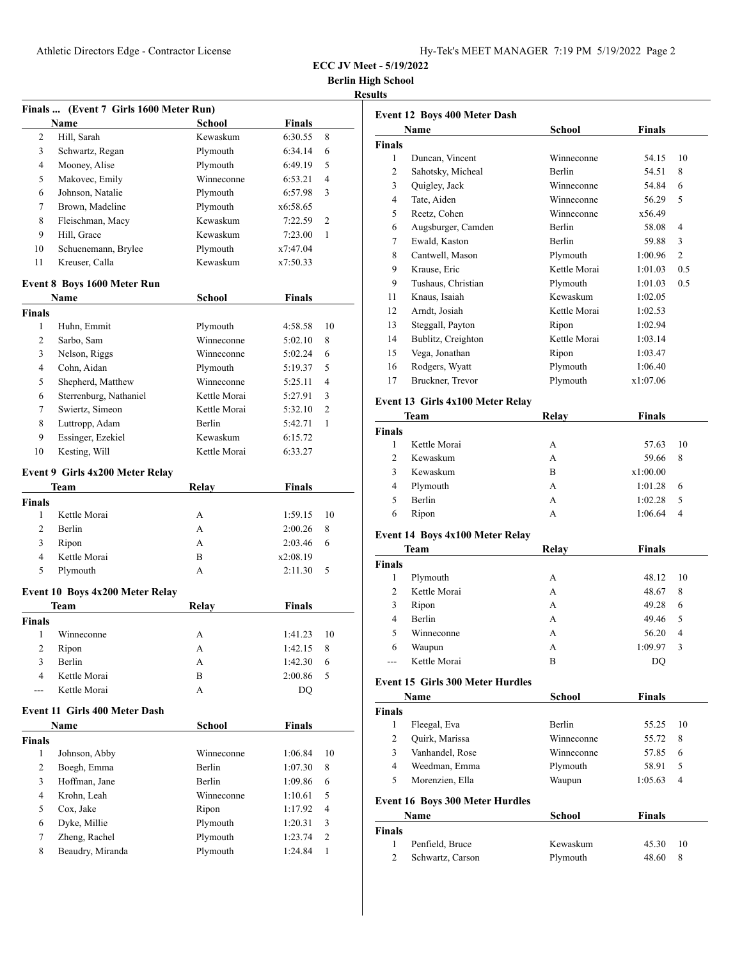| Hy-Tek's MEET MANAGER 7:19 PM 5/19/2022 Page 2 |  |  |  |
|------------------------------------------------|--|--|--|
|------------------------------------------------|--|--|--|

**Berlin High School**

**Results**

|                         | Finals  (Event 7 Girls 1600 Meter Run)    |                      |                    |                |
|-------------------------|-------------------------------------------|----------------------|--------------------|----------------|
|                         | Name                                      | <b>School</b>        | <b>Finals</b>      |                |
| 2                       | Hill, Sarah                               | Kewaskum             | 6:30.55            | 8              |
| 3                       | Schwartz, Regan                           | Plymouth             | 6:34.14            | 6              |
| 4                       | Mooney, Alise                             | Plymouth             | 6:49.19            | 5              |
| 5                       | Makovec, Emily                            | Winneconne           | 6:53.21            | 4              |
| 6                       | Johnson, Natalie                          | Plymouth             | 6:57.98            | 3              |
| 7                       | Brown, Madeline                           | Plymouth             | x6:58.65           |                |
| 8                       | Fleischman, Macy                          | Kewaskum             | 7:22.59            | $\overline{c}$ |
| 9                       | Hill, Grace                               | Kewaskum             | 7:23.00            | 1              |
| 10                      | Schuenemann, Brylee                       | Plymouth             | x7:47.04           |                |
| 11                      | Kreuser, Calla                            | Kewaskum             | x7:50.33           |                |
|                         | Event 8 Boys 1600 Meter Run               |                      |                    |                |
|                         | Name                                      | School               | <b>Finals</b>      |                |
| <b>Finals</b>           |                                           |                      |                    |                |
| 1                       | Huhn, Emmit                               | Plymouth             | 4:58.58            | 10             |
| $\overline{c}$          | Sarbo, Sam                                | Winneconne           | 5:02.10            | 8              |
| 3                       | Nelson, Riggs                             | Winneconne           | 5:02.24            | 6              |
| $\overline{4}$          | Cohn, Aidan                               | Plymouth             | 5:19.37            | 5              |
| 5                       | Shepherd, Matthew                         | Winneconne           | 5:25.11            | 4              |
| 6                       |                                           | Kettle Morai         |                    | 3              |
| 7                       | Sterrenburg, Nathaniel<br>Swiertz, Simeon | Kettle Morai         | 5:27.91            | $\overline{c}$ |
|                         |                                           |                      | 5:32.10            |                |
| 8                       | Luttropp, Adam                            | Berlin               | 5:42.71            | 1              |
| 9                       | Essinger, Ezekiel                         | Kewaskum             | 6:15.72            |                |
| 10                      | Kesting, Will                             | Kettle Morai         | 6:33.27            |                |
|                         | Event 9 Girls 4x200 Meter Relay           |                      |                    |                |
|                         | Team                                      | <b>Relay</b>         | <b>Finals</b>      |                |
| <b>Finals</b>           |                                           |                      |                    |                |
| 1                       | Kettle Morai                              | A                    | 1:59.15            | 10             |
| 2                       | Berlin                                    | A                    | 2:00.26            | 8              |
| 3                       | Ripon                                     | A                    | 2:03.46            | 6              |
| $\overline{4}$          | Kettle Morai                              | B                    | x2:08.19           |                |
| 5                       | Plymouth                                  | A                    | 2:11.30            | 5              |
|                         |                                           |                      |                    |                |
|                         | Event 10 Boys 4x200 Meter Relay           |                      |                    |                |
|                         | Team                                      | <b>Relay</b>         | <b>Finals</b>      |                |
| <b>Finals</b>           |                                           |                      |                    |                |
| 1                       | Winneconne                                | А                    | 1:41.23            | 10             |
| $\sqrt{2}$              | Ripon                                     | A                    | 1:42.15            | 8              |
| 3                       | Berlin                                    | A                    | 1:42.30            | 6              |
| $\overline{4}$          | Kettle Morai                              | B                    | 2:00.86            | 5              |
| ---                     | Kettle Morai                              | A                    | DQ                 |                |
|                         | Event 11 Girls 400 Meter Dash             |                      |                    |                |
|                         |                                           |                      |                    |                |
|                         | Name                                      | School               | <b>Finals</b>      |                |
|                         |                                           |                      |                    |                |
| 1                       | Johnson, Abby                             | Winneconne           | 1:06.84            | 10             |
| 2                       | Boegh, Emma                               | Berlin               | 1:07.30            | 8              |
| 3                       | Hoffman, Jane                             | Berlin               | 1:09.86            | 6              |
| 4                       | Krohn, Leah                               | Winneconne           | 1:10.61            | 5              |
| 5                       |                                           |                      | 1:17.92            | 4              |
| 6                       | Cox, Jake                                 | Ripon                |                    | 3              |
| <b>Finals</b><br>$\tau$ | Dyke, Millie<br>Zheng, Rachel             | Plymouth<br>Plymouth | 1:20.31<br>1:23.74 | 2              |

|               | Name               | School        | Finals   |                |
|---------------|--------------------|---------------|----------|----------------|
| <b>Finals</b> |                    |               |          |                |
| 1             | Duncan, Vincent    | Winneconne    | 54.15    | 10             |
| 2             | Sahotsky, Micheal  | <b>Berlin</b> | 54.51    | 8              |
| 3             | Quigley, Jack      | Winneconne    | 54.84    | 6              |
| 4             | Tate, Aiden        | Winneconne    | 56.29    | 5              |
| 5             | Reetz, Cohen       | Winneconne    | x56.49   |                |
| 6             | Augsburger, Camden | <b>Berlin</b> | 58.08    | 4              |
| 7             | Ewald, Kaston      | <b>Berlin</b> | 59.88    | 3              |
| 8             | Cantwell, Mason    | Plymouth      | 1:00.96  | $\overline{2}$ |
| 9             | Krause, Eric       | Kettle Morai  | 1:01.03  | 0.5            |
| 9             | Tushaus, Christian | Plymouth      | 1:01.03  | 0.5            |
| 11            | Knaus, Isaiah      | Kewaskum      | 1:02.05  |                |
| 12            | Arndt, Josiah      | Kettle Morai  | 1:02.53  |                |
| 13            | Steggall, Payton   | Ripon         | 1:02.94  |                |
| 14            | Bublitz, Creighton | Kettle Morai  | 1:03.14  |                |
| 15            | Vega, Jonathan     | Ripon         | 1:03.47  |                |
| 16            | Rodgers, Wyatt     | Plymouth      | 1:06.40  |                |
| 17            | Bruckner, Trevor   | Plymouth      | x1:07.06 |                |

### **Event 13 Girls 4x100 Meter Relay**

| <b>Team</b>   |               | Relay | <b>Finals</b> |    |
|---------------|---------------|-------|---------------|----|
| <b>Finals</b> |               |       |               |    |
|               | Kettle Morai  | А     | 57.63         | 10 |
| 2             | Kewaskum      | А     | 59.66         | 8  |
| 3             | Kewaskum      | B     | x1:00.00      |    |
| 4             | Plymouth      | A     | 1:01.28       | 6  |
| 5             | <b>Berlin</b> | А     | 1:02.28       | 5  |
| 6             | Ripon         | А     | 1:06.64       | 4  |
|               |               |       |               |    |

### **Event 14 Boys 4x100 Meter Relay**

| <b>Team</b>    |               | Relay | <b>Finals</b>           |  |
|----------------|---------------|-------|-------------------------|--|
| <b>Finals</b>  |               |       |                         |  |
| 1              | Plymouth      | А     | 48.12<br>-10            |  |
| 2              | Kettle Morai  | А     | 48.67<br>8              |  |
| 3              | Ripon         | А     | 49.28<br>6              |  |
| $\overline{4}$ | <b>Berlin</b> | А     | 49.46<br>5              |  |
| 5              | Winneconne    | А     | 56.20<br>$\overline{4}$ |  |
| 6              | Waupun        | А     | 1:09.97<br>3            |  |
|                | Kettle Morai  | B     | DO                      |  |

### **Event 15 Girls 300 Meter Hurdles**

|                | Name                                   | <b>School</b> | <b>Finals</b> |    |
|----------------|----------------------------------------|---------------|---------------|----|
| <b>Finals</b>  |                                        |               |               |    |
| 1              | Fleegal, Eva                           | <b>Berlin</b> | 55.25         | 10 |
| 2              | Quirk, Marissa                         | Winneconne    | 55.72         | 8  |
| 3              | Vanhandel, Rose                        | Winneconne    | 57.85         | 6  |
| 4              | Weedman, Emma                          | Plymouth      | 58.91         | 5  |
| 5              | Morenzien, Ella                        | Waupun        | 1:05.63       | 4  |
|                | <b>Event 16 Boys 300 Meter Hurdles</b> |               |               |    |
|                | <b>Name</b>                            | <b>School</b> | <b>Finals</b> |    |
| <b>Finals</b>  |                                        |               |               |    |
| 1              | Penfield, Bruce                        | Kewaskum      | 45.30         | 10 |
| $\overline{c}$ | Schwartz, Carson                       | Plymouth      | 48.60         | 8  |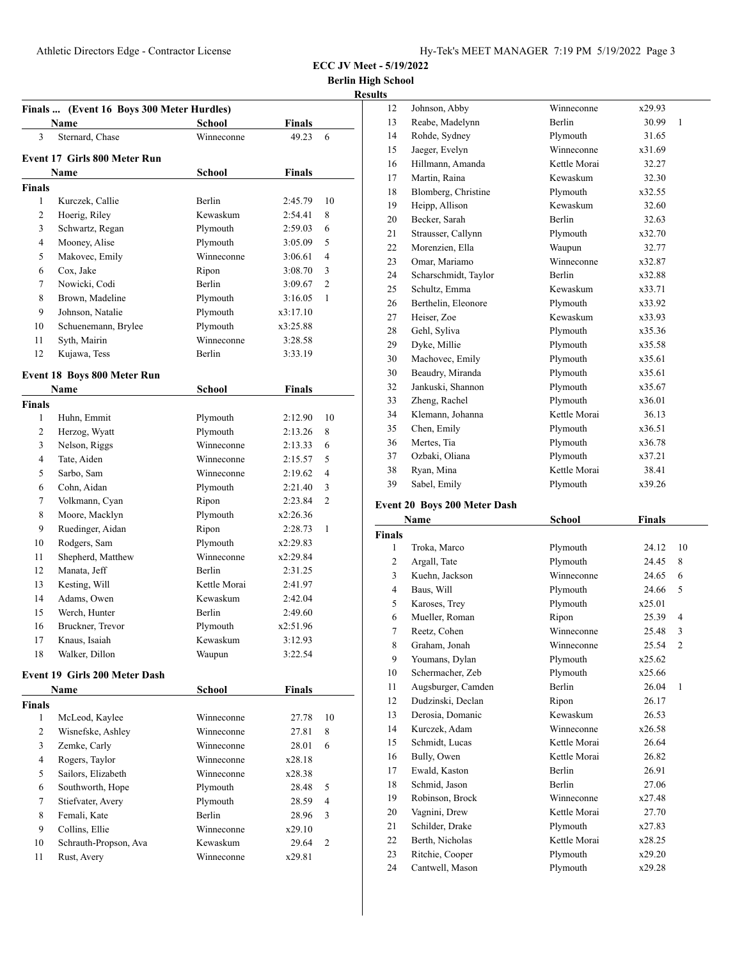**Berlin High School**

| <b>Results</b> |
|----------------|
|                |

|        | Name                                 | <b>School</b> | <b>Finals</b> |                |
|--------|--------------------------------------|---------------|---------------|----------------|
| 3      | Sternard, Chase                      | Winneconne    | 49.23         | 6              |
|        | Event 17 Girls 800 Meter Run         |               |               |                |
|        | Name                                 | School        | <b>Finals</b> |                |
| Finals |                                      |               |               |                |
| 1      | Kurczek, Callie                      | <b>Berlin</b> | 2:45.79       | 10             |
| 2      | Hoerig, Riley                        | Kewaskum      | 2:54.41       | 8              |
| 3      | Schwartz, Regan                      | Plymouth      | 2:59.03       | 6              |
| 4      | Mooney, Alise                        | Plymouth      | 3:05.09       | 5              |
| 5      | Makovec, Emily                       | Winneconne    | 3:06.61       | $\overline{4}$ |
| 6      | Cox, Jake                            | Ripon         | 3:08.70       | 3              |
| 7      | Nowicki, Codi                        | Berlin        | 3:09.67       | 2              |
| 8      | Brown, Madeline                      | Plymouth      | 3:16.05       | 1              |
| 9      | Johnson, Natalie                     | Plymouth      | x3:17.10      |                |
| 10     | Schuenemann, Brylee                  | Plymouth      | x3:25.88      |                |
| 11     | Syth, Mairin                         | Winneconne    | 3:28.58       |                |
| 12     | Kujawa, Tess                         | Berlin        | 3:33.19       |                |
|        | <b>Event 18 Boys 800 Meter Run</b>   |               |               |                |
|        | <b>Name</b>                          | School        | <b>Finals</b> |                |
| Finals |                                      |               |               |                |
| 1      | Huhn, Emmit                          | Plymouth      | 2:12.90       | 10             |
| 2      | Herzog, Wyatt                        | Plymouth      | 2:13.26       | 8              |
| 3      | Nelson, Riggs                        | Winneconne    | 2:13.33       | 6              |
| 4      | Tate, Aiden                          | Winneconne    | 2:15.57       | 5              |
| 5      | Sarbo, Sam                           | Winneconne    | 2:19.62       | 4              |
| 6      | Cohn, Aidan                          | Plymouth      | 2:21.40       | 3              |
| 7      | Volkmann, Cyan                       | Ripon         | 2:23.84       | 2              |
| 8      | Moore, Macklyn                       | Plymouth      | x2:26.36      |                |
| 9      | Ruedinger, Aidan                     | Ripon         | 2:28.73       | 1              |
| 10     | Rodgers, Sam                         | Plymouth      | x2:29.83      |                |
| 11     | Shepherd, Matthew                    | Winneconne    | x2:29.84      |                |
| 12     | Manata, Jeff                         | Berlin        | 2:31.25       |                |
| 13     | Kesting, Will                        | Kettle Morai  | 2:41.97       |                |
| 14     | Adams, Owen                          | Kewaskum      | 2:42.04       |                |
| 15     | Werch, Hunter                        | <b>Berlin</b> | 2:49.60       |                |
| 16     | Bruckner, Trevor                     | Plymouth      | x2:51.96      |                |
| 17     | Knaus, Isaiah                        | Kewaskum      | 3:12.93       |                |
| 18     | Walker, Dillon                       | Waupun        | 3:22.54       |                |
|        | <b>Event 19 Girls 200 Meter Dash</b> |               |               |                |
|        | Name                                 | School        | <b>Finals</b> |                |
| Finals |                                      |               |               |                |
| 1      | McLeod, Kaylee                       | Winneconne    | 27.78         | 10             |
| 2      | Wisnefske, Ashley                    | Winneconne    | 27.81         | 8              |
| 3      | Zemke, Carly                         | Winneconne    | 28.01         | 6              |
| 4      | Rogers, Taylor                       | Winneconne    | x28.18        |                |
| 5      | Sailors, Elizabeth                   | Winneconne    | x28.38        |                |
| 6      | Southworth, Hope                     | Plymouth      | 28.48         | 5              |
| 7      | Stiefvater, Avery                    | Plymouth      | 28.59         | 4              |
| 8      | Femali, Kate                         | Berlin        | 28.96         | 3              |
| 9      | Collins, Ellie                       | Winneconne    | x29.10        |                |
| 10     | Schrauth-Propson, Ava                | Kewaskum      | 29.64         | 2              |
|        | Rust, Avery                          | Winneconne    | x29.81        |                |

| ý, |                      |              |                       |
|----|----------------------|--------------|-----------------------|
| 12 | Johnson, Abby        | Winneconne   | x29.93                |
| 13 | Reabe, Madelynn      | Berlin       | 30.99<br>$\mathbf{1}$ |
| 14 | Rohde, Sydney        | Plymouth     | 31.65                 |
| 15 | Jaeger, Evelyn       | Winneconne   | x31.69                |
| 16 | Hillmann, Amanda     | Kettle Morai | 32.27                 |
| 17 | Martin, Raina        | Kewaskum     | 32.30                 |
| 18 | Blomberg, Christine  | Plymouth     | x32.55                |
| 19 | Heipp, Allison       | Kewaskum     | 32.60                 |
| 20 | Becker, Sarah        | Berlin       | 32.63                 |
| 21 | Strausser, Callynn   | Plymouth     | x32.70                |
| 22 | Morenzien, Ella      | Waupun       | 32.77                 |
| 23 | Omar, Mariamo        | Winneconne   | x32.87                |
| 24 | Scharschmidt, Taylor | Berlin       | x32.88                |
| 25 | Schultz, Emma        | Kewaskum     | x33.71                |
| 26 | Berthelin, Eleonore  | Plymouth     | x33.92                |
| 27 | Heiser, Zoe          | Kewaskum     | x33.93                |
| 28 | Gehl, Syliva         | Plymouth     | x35.36                |
| 29 | Dyke, Millie         | Plymouth     | x35.58                |
| 30 | Machovec, Emily      | Plymouth     | x35.61                |
| 30 | Beaudry, Miranda     | Plymouth     | x35.61                |
| 32 | Jankuski, Shannon    | Plymouth     | x35.67                |
| 33 | Zheng, Rachel        | Plymouth     | x36.01                |
| 34 | Klemann, Johanna     | Kettle Morai | 36.13                 |
| 35 | Chen, Emily          | Plymouth     | x36.51                |
| 36 | Mertes, Tia          | Plymouth     | x36.78                |
| 37 | Ozbaki, Oliana       | Plymouth     | x37.21                |
| 38 | Ryan, Mina           | Kettle Morai | 38.41                 |
| 39 | Sabel, Emily         | Plymouth     | x39.26                |

# **Event 20 Boys 200 Meter Dash**

|                | Name               | School        | <b>Finals</b> |                |
|----------------|--------------------|---------------|---------------|----------------|
| <b>Finals</b>  |                    |               |               |                |
| 1              | Troka, Marco       | Plymouth      | 24.12         | 10             |
| 2              | Argall, Tate       | Plymouth      | 24.45         | 8              |
| 3              | Kuehn, Jackson     | Winneconne    | 24.65         | 6              |
| $\overline{4}$ | Baus, Will         | Plymouth      | 24.66         | 5              |
| 5              | Karoses, Trey      | Plymouth      | x25.01        |                |
| 6              | Mueller, Roman     | Ripon         | 25.39         | 4              |
| 7              | Reetz, Cohen       | Winneconne    | 25.48         | 3              |
| 8              | Graham, Jonah      | Winneconne    | 25.54         | $\overline{2}$ |
| 9              | Youmans, Dylan     | Plymouth      | x25.62        |                |
| 10             | Schermacher, Zeb   | Plymouth      | x25.66        |                |
| 11             | Augsburger, Camden | <b>Berlin</b> | 26.04         | 1              |
| 12             | Dudzinski, Declan  | Ripon         | 26.17         |                |
| 13             | Derosia, Domanic   | Kewaskum      | 26.53         |                |
| 14             | Kurczek, Adam      | Winneconne    | x26.58        |                |
| 15             | Schmidt, Lucas     | Kettle Morai  | 26.64         |                |
| 16             | Bully, Owen        | Kettle Morai  | 26.82         |                |
| 17             | Ewald, Kaston      | Berlin        | 26.91         |                |
| 18             | Schmid, Jason      | <b>Berlin</b> | 27.06         |                |
| 19             | Robinson, Brock    | Winneconne    | x27.48        |                |
| 20             | Vagnini, Drew      | Kettle Morai  | 27.70         |                |
| 21             | Schilder, Drake    | Plymouth      | x27.83        |                |
| 22             | Berth, Nicholas    | Kettle Morai  | x28.25        |                |
| 23             | Ritchie, Cooper    | Plymouth      | x29.20        |                |
| 24             | Cantwell, Mason    | Plymouth      | x29.28        |                |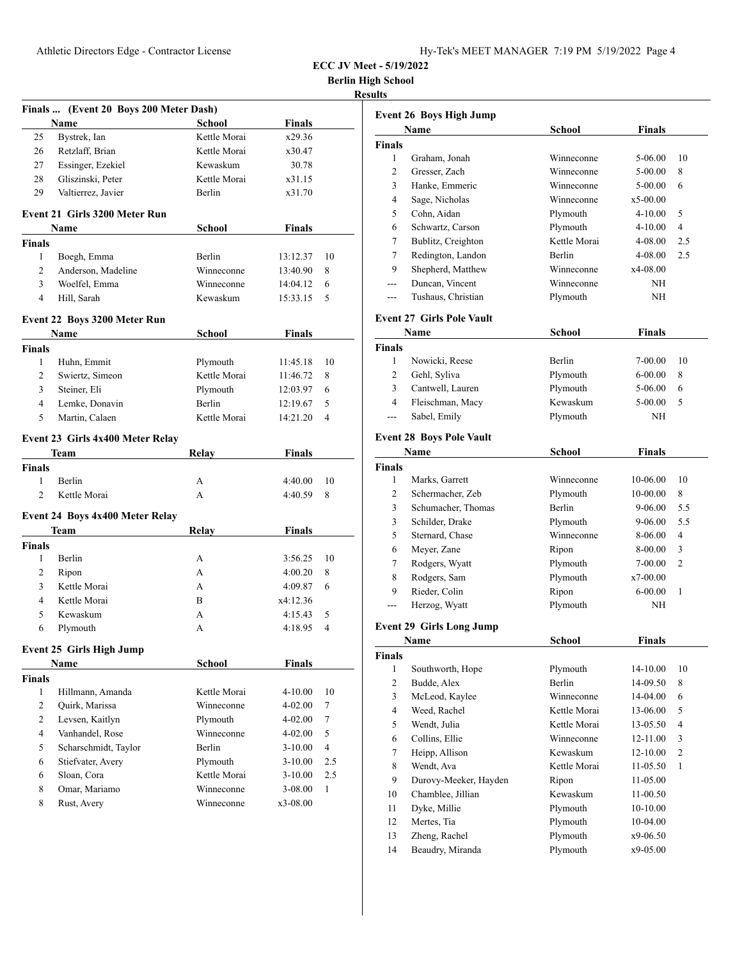| Hy-Tek's MEET MANAGER  7:19 PM  5/19/2022  Page 4 |  |  |  |
|---------------------------------------------------|--|--|--|
|---------------------------------------------------|--|--|--|

**Berlin High School**

**Results**

|                | Finals  (Event 20 Boys 200 Meter Dash) |               |               |                |
|----------------|----------------------------------------|---------------|---------------|----------------|
|                | Name                                   | School        | <b>Finals</b> |                |
| 25             | Bystrek, Ian                           | Kettle Morai  | x29.36        |                |
| 26             | Retzlaff, Brian                        | Kettle Morai  | x30.47        |                |
| 27             | Essinger, Ezekiel                      | Kewaskum      | 30.78         |                |
| 28             | Gliszinski, Peter                      | Kettle Morai  | x31.15        |                |
| 29             | Valtierrez, Javier                     | Berlin        | x31.70        |                |
|                |                                        |               |               |                |
|                | Event 21 Girls 3200 Meter Run          |               |               |                |
|                | Name                                   | School        | Finals        |                |
| Finals         |                                        |               |               |                |
| 1              | Boegh, Emma                            | <b>Berlin</b> | 13:12.37      | 10             |
| $\overline{2}$ | Anderson, Madeline                     | Winneconne    | 13:40.90      | 8              |
| 3              | Woelfel, Emma                          | Winneconne    | 14:04.12      | 6              |
| 4              | Hill, Sarah                            | Kewaskum      | 15:33.15      | 5              |
|                | Event 22 Boys 3200 Meter Run           |               |               |                |
|                | Name                                   | School        | <b>Finals</b> |                |
| <b>Finals</b>  |                                        |               |               |                |
| $\mathbf{1}$   | Huhn, Emmit                            | Plymouth      | 11:45.18      | 10             |
| $\overline{2}$ | Swiertz, Simeon                        | Kettle Morai  | 11:46.72      | 8              |
| 3              | Steiner, Eli                           | Plymouth      | 12:03.97      | 6              |
| 4              | Lemke, Donavin                         | <b>Berlin</b> | 12:19.67      | 5              |
| 5              | Martin, Calaen                         | Kettle Morai  | 14:21.20      | $\overline{4}$ |
|                |                                        |               |               |                |
|                | Event 23 Girls 4x400 Meter Relay       |               |               |                |
|                | Team                                   | Relay         | <b>Finals</b> |                |
| <b>Finals</b>  |                                        |               |               |                |
| 1              | <b>Berlin</b>                          | А             | 4:40.00       | 10             |
| $\overline{c}$ | Kettle Morai                           | A             | 4:40.59       | 8              |
|                | Event 24 Boys 4x400 Meter Relay        |               |               |                |
|                | Team                                   | Relay         | <b>Finals</b> |                |
| <b>Finals</b>  |                                        |               |               |                |
| 1              | Berlin                                 | А             | 3:56.25       | 10             |
| 2              | Ripon                                  | А             | 4:00.20       | 8              |
| 3              | Kettle Morai                           | А             | 4:09.87       | 6              |
| 4              | Kettle Morai                           | B             | x4:12.36      |                |
| 5              | Kewaskum                               | А             | 4:15.43       | 5              |
| 6              | Plymouth                               | А             | 4:18.95       | 4              |
|                |                                        |               |               |                |
|                | Event 25 Girls High Jump               |               |               |                |
|                | Name                                   | School        | <b>Finals</b> |                |
| <b>Finals</b>  |                                        |               |               |                |
| $\mathbf{1}$   | Hillmann, Amanda                       | Kettle Morai  | 4-10.00       | 10             |
| 2              | Quirk, Marissa                         | Winneconne    | 4-02.00       | 7              |
| 2              | Levsen, Kaitlyn                        | Plymouth      | 4-02.00       | 7              |
| 4              | Vanhandel, Rose                        | Winneconne    | $4 - 02.00$   | 5              |
| 5              | Scharschmidt, Taylor                   | Berlin        | 3-10.00       | 4              |
| 6              | Stiefvater, Avery                      | Plymouth      | $3-10.00$     | 2.5            |
| 6              | Sloan, Cora                            | Kettle Morai  | $3-10.00$     | 2.5            |
| 8              | Omar, Mariamo                          | Winneconne    | 3-08.00       | 1              |
| 8              | Rust, Avery                            | Winneconne    | x3-08.00      |                |
|                |                                        |               |               |                |

| <b>Event 26 Boys High Jump</b>   |                                  |               |                |  |
|----------------------------------|----------------------------------|---------------|----------------|--|
| Name                             | <b>School</b>                    | <b>Finals</b> |                |  |
|                                  |                                  |               |                |  |
| Graham, Jonah                    | Winneconne                       | 5-06.00       | 10             |  |
| Gresser, Zach                    | Winneconne                       | 5-00.00       | 8              |  |
| Hanke, Emmeric                   | Winneconne                       | 5-00.00       | 6              |  |
| Sage, Nicholas                   | Winneconne                       | x5-00.00      |                |  |
| Cohn, Aidan                      | Plymouth                         | 4-10.00       | 5              |  |
| Schwartz, Carson                 | Plymouth                         | 4-10.00       | $\overline{4}$ |  |
| Bublitz, Creighton               | Kettle Morai                     | 4-08.00       | 2.5            |  |
| Redington, Landon                | Berlin                           | 4-08.00       | 2.5            |  |
| Shepherd, Matthew                | Winneconne                       | x4-08.00      |                |  |
| Duncan, Vincent                  | Winneconne                       | NH            |                |  |
| Tushaus, Christian               | Plymouth                         | NH            |                |  |
| <b>Event 27 Girls Pole Vault</b> |                                  |               |                |  |
| Name                             | School                           | Finals        |                |  |
|                                  |                                  |               |                |  |
| Nowicki, Reese                   | Berlin                           | 7-00.00       | 10             |  |
|                                  | Plymouth                         | 6-00.00       | 8              |  |
| Cantwell, Lauren                 | Plymouth                         | 5-06.00       | 6              |  |
| Fleischman, Macy                 |                                  | $5-00.00$     | 5              |  |
| Sabel, Emily                     | Plymouth                         | NΗ            |                |  |
| <b>Event 28 Boys Pole Vault</b>  |                                  |               |                |  |
| Name                             | School                           | <b>Finals</b> |                |  |
|                                  |                                  |               |                |  |
| Marks, Garrett                   | Winneconne                       | 10-06.00      | 10             |  |
|                                  | Plymouth                         | 10-00.00      | 8              |  |
| Schumacher, Thomas               | Berlin                           | 9-06.00       | 5.5            |  |
| Schilder, Drake                  | Plymouth                         | 9-06.00       | 5.5            |  |
| Sternard, Chase                  | Winneconne                       | 8-06.00       | 4              |  |
| Meyer, Zane                      | Ripon                            | 8-00.00       | 3              |  |
| Rodgers, Wyatt                   | Plymouth                         | 7-00.00       | 2              |  |
| Rodgers, Sam                     | Plymouth                         | x7-00.00      |                |  |
| Rieder, Colin                    | Ripon                            | $6 - 00.00$   | 1              |  |
| Herzog, Wyatt                    | Plymouth                         | NΗ            |                |  |
| <b>Event 29 Girls Long Jump</b>  |                                  |               |                |  |
| Name                             | School                           | Finals        |                |  |
|                                  |                                  |               |                |  |
| Southworth, Hope                 | Plymouth                         | 14-10.00      | 10             |  |
| Budde, Alex                      | <b>Berlin</b>                    | 14-09.50      | 8              |  |
| McLeod, Kaylee                   | Winneconne                       | 14-04.00      | 6              |  |
| Weed, Rachel                     | Kettle Morai                     | 13-06.00      | 5              |  |
| Wendt, Julia                     | Kettle Morai                     | 13-05.50      | 4              |  |
| Collins, Ellie                   | Winneconne                       | 12-11.00      | 3              |  |
| Heipp, Allison                   | Kewaskum                         | 12-10.00      | $\mathfrak{2}$ |  |
| Wendt, Ava                       | Kettle Morai                     | 11-05.50      | $\mathbf{1}$   |  |
| Durovy-Meeker, Hayden            | Ripon                            | 11-05.00      |                |  |
| Chamblee, Jillian                | Kewaskum                         | 11-00.50      |                |  |
| Dyke, Millie                     | Plymouth                         | 10-10.00      |                |  |
| Mertes, Tia                      | Plymouth                         | 10-04.00      |                |  |
| Zheng, Rachel                    | Plymouth                         | x9-06.50      |                |  |
| Beaudry, Miranda                 | Plymouth                         | x9-05.00      |                |  |
|                                  | Gehl, Syliva<br>Schermacher, Zeb | Kewaskum      |                |  |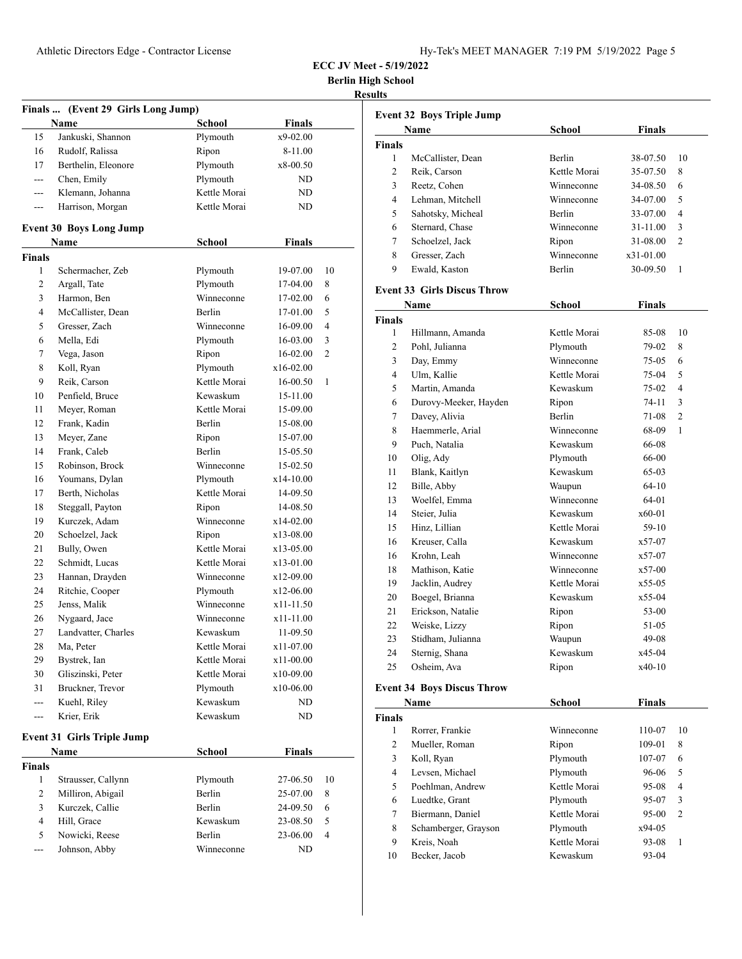| Hy-Tek's MEET MANAGER 7:19 PM 5/19/2022 Page 5 |  |  |  |
|------------------------------------------------|--|--|--|
|------------------------------------------------|--|--|--|

**Berlin High School**

### **Results**

|               | Finals  (Event 29 Girls Long Jump) |               |               |    |
|---------------|------------------------------------|---------------|---------------|----|
|               | Name                               | <b>School</b> | <b>Finals</b> |    |
| 15            | Jankuski, Shannon                  | Plymouth      | x9-02.00      |    |
| 16            | Rudolf, Ralissa                    | Ripon         | 8-11.00       |    |
| 17            | Berthelin, Eleonore                | Plymouth      | x8-00.50      |    |
| ---           | Chen, Emily                        | Plymouth      | ND            |    |
| ---           | Klemann, Johanna                   | Kettle Morai  | ND            |    |
| ---           | Harrison, Morgan                   | Kettle Morai  | ND            |    |
|               | <b>Event 30 Boys Long Jump</b>     |               |               |    |
|               | Name                               | <b>School</b> | <b>Finals</b> |    |
| Finals        |                                    |               |               |    |
| 1             | Schermacher, Zeb                   | Plymouth      | 19-07.00      | 10 |
| 2             | Argall, Tate                       | Plymouth      | 17-04.00      | 8  |
| 3             | Harmon, Ben                        | Winneconne    | 17-02.00      | 6  |
| 4             | McCallister, Dean                  | Berlin        | 17-01.00      | 5  |
| 5             | Gresser, Zach                      | Winneconne    | 16-09.00      | 4  |
| 6             | Mella, Edi                         | Plymouth      | 16-03.00      | 3  |
| 7             | Vega, Jason                        | Ripon         | 16-02.00      | 2  |
| 8             | Koll, Ryan                         | Plymouth      | x16-02.00     |    |
| 9             | Reik, Carson                       | Kettle Morai  | 16-00.50      | 1  |
| 10            | Penfield, Bruce                    | Kewaskum      | 15-11.00      |    |
| 11            | Meyer, Roman                       | Kettle Morai  | 15-09.00      |    |
| 12            | Frank, Kadin                       | Berlin        | 15-08.00      |    |
| 13            | Meyer, Zane                        | Ripon         | 15-07.00      |    |
| 14            | Frank, Caleb                       | Berlin        | 15-05.50      |    |
| 15            | Robinson, Brock                    | Winneconne    | 15-02.50      |    |
| 16            | Youmans, Dylan                     | Plymouth      | x14-10.00     |    |
| 17            | Berth, Nicholas                    | Kettle Morai  | 14-09.50      |    |
| 18            | Steggall, Payton                   | Ripon         | 14-08.50      |    |
| 19            | Kurczek, Adam                      | Winneconne    | x14-02.00     |    |
| 20            | Schoelzel, Jack                    | Ripon         | x13-08.00     |    |
| 21            | Bully, Owen                        | Kettle Morai  | x13-05.00     |    |
| 22            | Schmidt, Lucas                     | Kettle Morai  | x13-01.00     |    |
| 23            | Hannan, Drayden                    | Winneconne    | x12-09.00     |    |
| 24            | Ritchie, Cooper                    | Plymouth      | x12-06.00     |    |
| 25            | Jenss, Malik                       | Winneconne    | x11-11.50     |    |
| 26            | Nygaard, Jace                      | Winneconne    | x11-11.00     |    |
| 27            | Landvatter, Charles                | Kewaskum      | 11-09.50      |    |
| 28            | Ma, Peter                          | Kettle Morai  | x11-07.00     |    |
| 29            | Bystrek, Ian                       | Kettle Morai  | x11-00.00     |    |
| 30            | Gliszinski, Peter                  | Kettle Morai  | x10-09.00     |    |
| 31            | Bruckner, Trevor                   | Plymouth      | x10-06.00     |    |
| ---           | Kuehl, Riley                       | Kewaskum      | ND            |    |
| $---$         | Krier, Erik                        | Kewaskum      | ND            |    |
|               |                                    |               |               |    |
|               | <b>Event 31 Girls Triple Jump</b>  |               |               |    |
| <b>Finals</b> | Name                               | <b>School</b> | <b>Finals</b> |    |
| 1             | Strausser, Callynn                 | Plymouth      | 27-06.50      | 10 |
| 2             | Milliron, Abigail                  | Berlin        | 25-07.00      | 8  |
| 3             | Kurczek, Callie                    | Berlin        | 24-09.50      | 6  |
|               |                                    |               |               |    |
| 4             | Hill, Grace                        | Kewaskum      | 23-08.50      | 5  |
| 5             | Nowicki, Reese                     | Berlin        | 23-06.00      | 4  |
| ---           | Johnson, Abby                      | Winneconne    | ND            |    |

| <b>Event 32 Boys Triple Jump</b> |                                    |               |               |                |
|----------------------------------|------------------------------------|---------------|---------------|----------------|
|                                  | Name                               | School        | Finals        |                |
| <b>Finals</b>                    |                                    |               |               |                |
| 1                                | McCallister, Dean                  | <b>Berlin</b> | 38-07.50      | 10             |
| $\overline{c}$                   | Reik, Carson                       | Kettle Morai  | 35-07.50      | 8              |
| 3                                | Reetz. Cohen                       | Winneconne    | 34-08.50      | 6              |
| 4                                | Lehman, Mitchell                   | Winneconne    | 34-07.00      | 5              |
| 5                                | Sahotsky, Micheal                  | <b>Berlin</b> | 33-07.00      | $\overline{4}$ |
| 6                                | Sternard, Chase                    | Winneconne    | 31-11.00      | 3              |
| 7                                | Schoelzel, Jack                    | Ripon         | 31-08.00      | $\overline{c}$ |
| 8                                | Gresser, Zach                      | Winneconne    | x31-01.00     |                |
| 9                                | Ewald, Kaston                      | <b>Berlin</b> | 30-09.50      | 1              |
|                                  | <b>Event 33 Girls Discus Throw</b> |               |               |                |
|                                  | Name                               | School        | Finals        |                |
| <b>Finals</b>                    |                                    |               |               |                |
| 1                                | Hillmann, Amanda                   | Kettle Morai  | 85-08         | 10             |
| $\overline{c}$                   | Pohl, Julianna                     | Plymouth      | 79-02         | 8              |
| 3                                | Day, Emmy                          | Winneconne    | 75-05         | 6              |
| 4                                | Ulm. Kallie                        | Kettle Morai  | 75-04         | 5              |
| 5                                | Martin, Amanda                     | Kewaskum      | 75-02         | 4              |
| 6                                | Durovy-Meeker, Hayden              | Ripon         | 74-11         | 3              |
| 7                                | Davey, Alivia                      | Berlin        | 71-08         | 2              |
| 8                                | Haemmerle, Arial                   | Winneconne    | 68-09         | 1              |
| 9                                | Puch, Natalia                      | Kewaskum      | 66-08         |                |
| 10                               | Olig, Ady                          | Plymouth      | 66-00         |                |
| 11                               | Blank, Kaitlyn                     | Kewaskum      | 65-03         |                |
| 12                               | Bille, Abby                        | Waupun        | $64-10$       |                |
| 13                               | Woelfel, Emma                      | Winneconne    | 64-01         |                |
| 14                               | Steier, Julia                      | Kewaskum      | $x60-01$      |                |
| 15                               | Hinz, Lillian                      | Kettle Morai  | $59-10$       |                |
| 16                               | Kreuser, Calla                     | Kewaskum      | x57-07        |                |
| 16                               | Krohn, Leah                        | Winneconne    | x57-07        |                |
| 18                               | Mathison, Katie                    | Winneconne    | $x57-00$      |                |
| 19                               | Jacklin, Audrey                    | Kettle Morai  | $x55-05$      |                |
| 20                               | Boegel, Brianna                    | Kewaskum      | $x55-04$      |                |
| 21                               | Erickson, Natalie                  | Ripon         | 53-00         |                |
| 22                               | Weiske, Lizzy                      | Ripon         | 51-05         |                |
| 23                               | Stidham, Julianna                  | Waupun        | 49-08         |                |
| 24                               | Sternig, Shana                     | Kewaskum      | x45-04        |                |
| 25                               | Osheim, Ava                        | Ripon         | $x40-10$      |                |
|                                  | <b>Event 34 Boys Discus Throw</b>  |               |               |                |
|                                  | Name                               | School        | <b>Finals</b> |                |
| Finals                           |                                    |               |               |                |

| nals           |                      |              |         |                |
|----------------|----------------------|--------------|---------|----------------|
| 1              | Rorrer, Frankie      | Winneconne   | 110-07  | 10             |
| $\overline{c}$ | Mueller, Roman       | Ripon        | 109-01  | 8              |
| 3              | Koll, Ryan           | Plymouth     | 107-07  | 6              |
| 4              | Levsen, Michael      | Plymouth     | 96-06   | 5              |
| 5              | Poehlman, Andrew     | Kettle Morai | 95-08   | 4              |
| 6              | Luedtke, Grant       | Plymouth     | 95-07   | 3              |
| 7              | Biermann, Daniel     | Kettle Morai | $95-00$ | $\overline{c}$ |
| 8              | Schamberger, Grayson | Plymouth     | x94-05  |                |
| 9              | Kreis, Noah          | Kettle Morai | 93-08   | 1              |
| 10             | Becker, Jacob        | Kewaskum     | $93-04$ |                |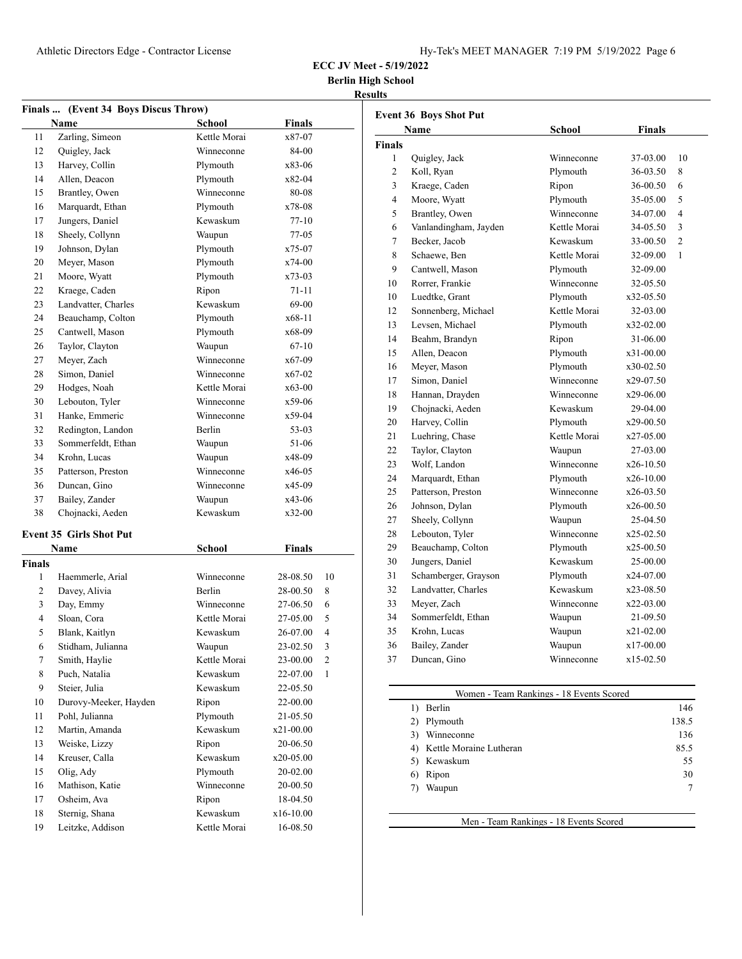**Berlin High School**

### **Results**

|               | Finals  (Event 34 Boys Discus Throw) |              |               |                |
|---------------|--------------------------------------|--------------|---------------|----------------|
|               | Name                                 | School       | <b>Finals</b> |                |
| 11            | Zarling, Simeon                      | Kettle Morai | x87-07        |                |
| 12            | Quigley, Jack                        | Winneconne   | 84-00         |                |
| 13            | Harvey, Collin                       | Plymouth     | x83-06        |                |
| 14            | Allen, Deacon                        | Plymouth     | x82-04        |                |
| 15            | Brantley, Owen                       | Winneconne   | 80-08         |                |
| 16            | Marquardt, Ethan                     | Plymouth     | x78-08        |                |
| 17            | Jungers, Daniel                      | Kewaskum     | 77-10         |                |
| 18            | Sheely, Collynn                      | Waupun       | $77-05$       |                |
| 19            | Johnson, Dylan                       | Plymouth     | x75-07        |                |
| 20            | Meyer, Mason                         | Plymouth     | x74-00        |                |
| 21            | Moore, Wyatt                         | Plymouth     | x73-03        |                |
| 22            | Kraege, Caden                        | Ripon        | 71-11         |                |
| 23            | Landvatter, Charles                  | Kewaskum     | 69-00         |                |
| 24            | Beauchamp, Colton                    | Plymouth     | x68-11        |                |
| 25            | Cantwell, Mason                      | Plymouth     | x68-09        |                |
| 26            | Taylor, Clayton                      | Waupun       | 67-10         |                |
| 27            | Meyer, Zach                          | Winneconne   | x67-09        |                |
| 28            | Simon, Daniel                        | Winneconne   | x67-02        |                |
| 29            | Hodges, Noah                         | Kettle Morai | x63-00        |                |
| 30            | Lebouton, Tyler                      | Winneconne   | x59-06        |                |
| 31            | Hanke, Emmeric                       | Winneconne   | x59-04        |                |
| 32            | Redington, Landon                    | Berlin       | 53-03         |                |
| 33            | Sommerfeldt, Ethan                   | Waupun       | 51-06         |                |
| 34            | Krohn, Lucas                         | Waupun       | x48-09        |                |
| 35            | Patterson, Preston                   | Winneconne   | x46-05        |                |
| 36            | Duncan, Gino                         | Winneconne   | x45-09        |                |
| 37            | Bailey, Zander                       | Waupun       | x43-06        |                |
| 38            | Chojnacki, Aeden                     | Kewaskum     | x32-00        |                |
|               |                                      |              |               |                |
|               | <b>Event 35 Girls Shot Put</b>       |              |               |                |
|               | Name                                 | School       | Finals        |                |
| <b>Finals</b> |                                      |              |               |                |
| 1             | Haemmerle, Arial                     | Winneconne   | 28-08.50      | 10             |
| 2             | Davey, Alivia                        | Berlin       | 28-00.50      | 8              |
| 3             | Day, Emmy                            | Winneconne   | 27-06.50      | 6              |
| 4             | Sloan, Cora                          | Kettle Morai | 27-05.00      | 5              |
| 5             | Blank, Kaitlyn                       | Kewaskum     | 26-07.00      | $\overline{4}$ |
| 6             | Stidham, Julianna                    | Waupun       | 23-02.50      | 3              |
| 7             | Smith, Haylie                        | Kettle Morai | 23-00.00      | 2              |
| 8             | Puch, Natalia                        | Kewaskum     | 22-07.00      | 1              |
| 9             | Steier, Julia                        | Kewaskum     | 22-05.50      |                |
| 10            | Durovy-Meeker, Hayden                | Ripon        | 22-00.00      |                |
| 11            | Pohl, Julianna                       | Plymouth     | 21-05.50      |                |
| 12            | Martin, Amanda                       | Kewaskum     | x21-00.00     |                |
| 13            | Weiske, Lizzy                        | Ripon        | 20-06.50      |                |
| 14            | Kreuser, Calla                       | Kewaskum     | x20-05.00     |                |
| 15            | Olig, Ady                            | Plymouth     | 20-02.00      |                |
| 16            | Mathison, Katie                      | Winneconne   | 20-00.50      |                |
| 17            | Osheim, Ava                          | Ripon        | 18-04.50      |                |
| 18            | Sternig, Shana                       | Kewaskum     | x16-10.00     |                |
| 19            | Leitzke, Addison                     | Kettle Morai | 16-08.50      |                |

| <b>Event 36 Boys Shot Put</b> |                       |              |               |                          |
|-------------------------------|-----------------------|--------------|---------------|--------------------------|
|                               | Name                  | School       | <b>Finals</b> |                          |
| <b>Finals</b>                 |                       |              |               |                          |
| 1                             | Quigley, Jack         | Winneconne   | 37-03.00      | 10                       |
| $\overline{c}$                | Koll, Ryan            | Plymouth     | 36-03.50      | 8                        |
| 3                             | Kraege, Caden         | Ripon        | 36-00.50      | 6                        |
| 4                             | Moore, Wyatt          | Plymouth     | 35-05.00      | 5                        |
| 5                             | Brantley, Owen        | Winneconne   | 34-07.00      | $\overline{\mathcal{A}}$ |
| 6                             | Vanlandingham, Jayden | Kettle Morai | 34-05.50      | 3                        |
| 7                             | Becker, Jacob         | Kewaskum     | 33-00.50      | $\overline{2}$           |
| 8                             | Schaewe, Ben          | Kettle Morai | 32-09.00      | 1                        |
| 9                             | Cantwell, Mason       | Plymouth     | 32-09.00      |                          |
| 10                            | Rorrer, Frankie       | Winneconne   | 32-05.50      |                          |
| 10                            | Luedtke, Grant        | Plymouth     | x32-05.50     |                          |
| 12                            | Sonnenberg, Michael   | Kettle Morai | 32-03.00      |                          |
| 13                            | Levsen, Michael       | Plymouth     | x32-02.00     |                          |
| 14                            | Beahm, Brandyn        | Ripon        | 31-06.00      |                          |
| 15                            | Allen, Deacon         | Plymouth     | x31-00.00     |                          |
| 16                            | Meyer, Mason          | Plymouth     | x30-02.50     |                          |
| 17                            | Simon, Daniel         | Winneconne   | x29-07.50     |                          |
| 18                            | Hannan, Drayden       | Winneconne   | x29-06.00     |                          |
| 19                            | Chojnacki, Aeden      | Kewaskum     | 29-04.00      |                          |
| 20                            | Harvey, Collin        | Plymouth     | $x29-00.50$   |                          |
| 21                            | Luehring, Chase       | Kettle Morai | x27-05.00     |                          |
| 22                            | Taylor, Clayton       | Waupun       | 27-03.00      |                          |
| 23                            | Wolf, Landon          | Winneconne   | x26-10.50     |                          |
| 24                            | Marquardt, Ethan      | Plymouth     | x26-10.00     |                          |
| 25                            | Patterson, Preston    | Winneconne   | x26-03.50     |                          |
| 26                            | Johnson, Dylan        | Plymouth     | x26-00.50     |                          |
| 27                            | Sheely, Collynn       | Waupun       | 25-04.50      |                          |
| 28                            | Lebouton, Tyler       | Winneconne   | $x25-02.50$   |                          |
| 29                            | Beauchamp, Colton     | Plymouth     | $x25-00.50$   |                          |
| 30                            | Jungers, Daniel       | Kewaskum     | 25-00.00      |                          |
| 31                            | Schamberger, Grayson  | Plymouth     | x24-07.00     |                          |
| 32                            | Landvatter, Charles   | Kewaskum     | x23-08.50     |                          |
| 33                            | Meyer, Zach           | Winneconne   | x22-03.00     |                          |
| 34                            | Sommerfeldt, Ethan    | Waupun       | 21-09.50      |                          |
| 35                            | Krohn, Lucas          | Waupun       | x21-02.00     |                          |
| 36                            | Bailey, Zander        | Waupun       | $x17-00.00$   |                          |
| 37                            | Duncan, Gino          | Winneconne   | $x15-02.50$   |                          |
|                               |                       |              |               |                          |

## Women - Team Rankings - 18 Events Scored 1) Berlin 146 2) Plymouth 138.5 3) Winneconne 136 4) Kettle Moraine Lutheran 85.5 5) Kewaskum 55 6) Ripon 30 7) Waupun 7

Men - Team Rankings - 18 Events Scored